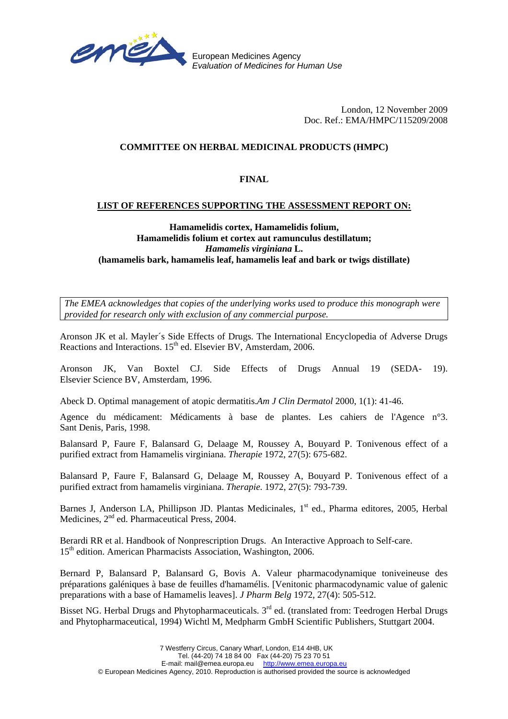

European Medicines Agency *Evaluation of Medicines for Human Use*

> London, 12 November 2009 Doc. Ref.: EMA/HMPC/115209/2008

# **COMMITTEE ON HERBAL MEDICINAL PRODUCTS (HMPC)**

# **FINAL**

#### **LIST OF REFERENCES SUPPORTING THE ASSESSMENT REPORT ON:**

#### **Hamamelidis cortex, Hamamelidis folium, Hamamelidis folium et cortex aut ramunculus destillatum;**  *Hamamelis virginiana* **L. (hamamelis bark, hamamelis leaf, hamamelis leaf and bark or twigs distillate)**

*The EMEA acknowledges that copies of the underlying works used to produce this monograph were provided for research only with exclusion of any commercial purpose.*

Aronson JK et al. Mayler´s Side Effects of Drugs. The International Encyclopedia of Adverse Drugs Reactions and Interactions. 15<sup>th</sup> ed. Elsevier BV, Amsterdam, 2006.

Aronson JK, Van Boxtel CJ. Side Effects of Drugs Annual 19 (SEDA- 19). Elsevier Science BV, Amsterdam, 1996.

Abeck D. Optimal management of atopic dermatitis.*Am J Clin Dermatol* 2000, 1(1): 41-46.

Agence du médicament: Médicaments à base de plantes. Les cahiers de l'Agence n°3. Sant Denis, Paris, 1998.

Balansard P, Faure F, Balansard G, Delaage M, Roussey A, Bouyard P. Tonivenous effect of a purified extract from Hamamelis virginiana. *Therapie* 1972, 27(5): 675-682.

Balansard P, Faure F, Balansard G, Delaage M, Roussey A, Bouyard P. Tonivenous effect of a purified extract from hamamelis virginiana. *Therapie.* 1972, 27(5): 793-739.

Barnes J, Anderson LA, Phillipson JD. Plantas Medicinales, 1<sup>st</sup> ed., Pharma editores, 2005, Herbal Medicines, 2<sup>nd</sup> ed. Pharmaceutical Press, 2004.

Berardi RR et al. Handbook of Nonprescription Drugs. An Interactive Approach to Self-care. 15<sup>th</sup> edition. American Pharmacists Association, Washington, 2006.

Bernard P, Balansard P, Balansard G, Bovis A. Valeur pharmacodynamique toniveineuse des préparations galéniques à base de feuilles d'hamamélis. [Venitonic pharmacodynamic value of galenic preparations with a base of Hamamelis leaves]. *J Pharm Belg* 1972, 27(4): 505-512*.* 

Bisset NG. Herbal Drugs and Phytopharmaceuticals.  $3<sup>rd</sup>$  ed. (translated from: Teedrogen Herbal Drugs and Phytopharmaceutical, 1994) Wichtl M, Medpharm GmbH Scientific Publishers, Stuttgart 2004.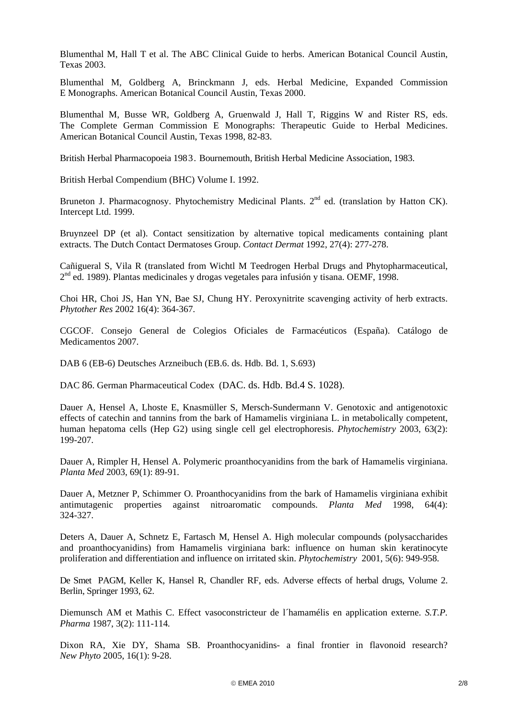Blumenthal M, Hall T et al. The ABC Clinical Guide to herbs. American Botanical Council Austin, Texas 2003.

Blumenthal M, Goldberg A, Brinckmann J, eds. Herbal Medicine, Expanded Commission E Monographs. American Botanical Council Austin, Texas 2000.

Blumenthal M, Busse WR, Goldberg A, Gruenwald J, Hall T, Riggins W and Rister RS, eds. The Complete German Commission E Monographs: Therapeutic Guide to Herbal Medicines. American Botanical Council Austin, Texas 1998, 82-83.

British Herbal Pharmacopoeia 1983. Bournemouth, British Herbal Medicine Association, 1983.

British Herbal Compendium (BHC) Volume I. 1992.

Bruneton J. Pharmacognosy. Phytochemistry Medicinal Plants.  $2<sup>nd</sup>$  ed. (translation by Hatton CK). Intercept Ltd. 1999.

Bruynzeel DP (et al). Contact sensitization by alternative topical medicaments containing plant extracts. The Dutch Contact Dermatoses Group. *Contact Dermat* 1992, 27(4): 277-278.

Cañigueral S, Vila R (translated from Wichtl M Teedrogen Herbal Drugs and Phytopharmaceutical, 2nd ed. 1989). Plantas medicinales y drogas vegetales para infusión y tisana. OEMF, 1998.

Choi HR, Choi JS, Han YN, Bae SJ, Chung HY. Peroxynitrite scavenging activity of herb extracts. *Phytother Res* 2002 16(4): 364-367*.* 

CGCOF. Consejo General de Colegios Oficiales de Farmacéuticos (España). Catálogo de Medicamentos 2007.

DAB 6 (EB-6) Deutsches Arzneibuch (EB.6. ds. Hdb. Bd. 1, S.693)

DAC 86. German Pharmaceutical Codex (DAC. ds. Hdb. Bd.4 S. 1028).

Dauer A, Hensel A, Lhoste E, Knasmüller S, Mersch-Sundermann V. Genotoxic and antigenotoxic effects of catechin and tannins from the bark of Hamamelis virginiana L. in metabolically competent, human hepatoma cells (Hep G2) using single cell gel electrophoresis. *Phytochemistry* 2003, 63(2): 199-207.

Dauer A, Rimpler H, Hensel A. Polymeric proanthocyanidins from the bark of Hamamelis virginiana. *Planta Med* 2003, 69(1): 89-91*.* 

Dauer A, Metzner P, Schimmer O. Proanthocyanidins from the bark of Hamamelis virginiana exhibit antimutagenic properties against nitroaromatic compounds. *Planta Med* 1998, 64(4): 324-327.

Deters A, Dauer A, Schnetz E, Fartasch M, Hensel A. High molecular compounds (polysaccharides and proanthocyanidins) from Hamamelis virginiana bark: influence on human skin keratinocyte proliferation and differentiation and influence on irritated skin. *Phytochemistry* 2001, 5(6): 949-958*.* 

De Smet PAGM, Keller K, Hansel R, Chandler RF, eds. Adverse effects of herbal drugs, Volume 2. Berlin, Springer 1993, 62.

Diemunsch AM et Mathis C. Effect vasoconstricteur de l´hamamélis en application externe. *S.T.P. Pharma* 1987, 3(2): 111-114*.* 

Dixon RA, Xie DY, Shama SB. Proanthocyanidins- a final frontier in flavonoid research? *New Phyto* 2005, 16(1): 9-28.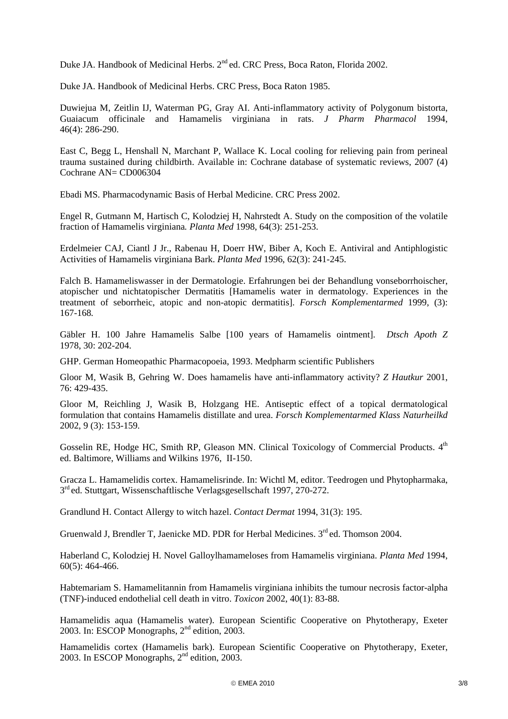Duke JA. Handbook of Medicinal Herbs. 2<sup>nd</sup> ed. CRC Press, Boca Raton, Florida 2002.

Duke JA. Handbook of Medicinal Herbs. CRC Press, Boca Raton 1985.

Duwiejua M, Zeitlin IJ, Waterman PG, Gray AI. Anti-inflammatory activity of Polygonum bistorta, Guaiacum officinale and Hamamelis virginiana in rats. *J Pharm Pharmacol* 1994, 46(4): 286-290.

East C, Begg L, Henshall N, Marchant P, Wallace K. Local cooling for relieving pain from perineal trauma sustained during childbirth. Available in: Cochrane database of systematic reviews, 2007 (4) Cochrane AN= CD006304

Ebadi MS. Pharmacodynamic Basis of Herbal Medicine. CRC Press 2002.

Engel R, Gutmann M, Hartisch C, Kolodziej H, Nahrstedt A. Study on the composition of the volatile fraction of Hamamelis virginiana*. Planta Med* 1998, 64(3): 251-253.

Erdelmeier CAJ, Ciantl J Jr., Rabenau H, Doerr HW, Biber A, Koch E. Antiviral and Antiphlogistic Activities of Hamamelis virginiana Bark. *Planta Med* 1996, 62(3): 241-245.

Falch B. Hamameliswasser in der Dermatologie. Erfahrungen bei der Behandlung vonseborrhoischer, atopischer und nichtatopischer Dermatitis [Hamamelis water in dermatology. Experiences in the treatment of seborrheic, atopic and non-atopic dermatitis]. *Forsch Komplementarmed* 1999, (3): 167-168*.* 

Gäbler H. 100 Jahre Hamamelis Salbe [100 years of Hamamelis ointment]. *Dtsch Apoth Z* 1978, 30: 202-204.

GHP. German Homeopathic Pharmacopoeia, 1993. Medpharm scientific Publishers

Gloor M, Wasik B, Gehring W. Does hamamelis have anti-inflammatory activity? *Z Hautkur* 2001, 76: 429-435.

Gloor M, Reichling J, Wasik B, Holzgang HE. Antiseptic effect of a topical dermatological formulation that contains Hamamelis distillate and urea. *Forsch Komplementarmed Klass Naturheilkd*  2002, 9 (3): 153-159*.* 

Gosselin RE, Hodge HC, Smith RP, Gleason MN. Clinical Toxicology of Commercial Products. 4<sup>th</sup> ed. Baltimore, Williams and Wilkins 1976, II-150.

Gracza L. Hamamelidis cortex. Hamamelisrinde. In: Wichtl M, editor. Teedrogen und Phytopharmaka, 3rd ed. Stuttgart, Wissenschaftlische Verlagsgesellschaft 1997, 270-272.

Grandlund H. Contact Allergy to witch hazel. *Contact Dermat* 1994, 31(3): 195.

Gruenwald J, Brendler T, Jaenicke MD. PDR for Herbal Medicines. 3<sup>rd</sup> ed. Thomson 2004.

Haberland C, Kolodziej H. Novel Galloylhamameloses from Hamamelis virginiana. *Planta Med* 1994, 60(5): 464-466.

Habtemariam S. Hamamelitannin from Hamamelis virginiana inhibits the tumour necrosis factor-alpha (TNF)-induced endothelial cell death in vitro. *Toxicon* 2002, 40(1): 83-88.

Hamamelidis aqua (Hamamelis water). European Scientific Cooperative on Phytotherapy, Exeter 2003. In: ESCOP Monographs, 2nd edition, 2003.

Hamamelidis cortex (Hamamelis bark). European Scientific Cooperative on Phytotherapy, Exeter, 2003. In ESCOP Monographs, 2nd edition, 2003.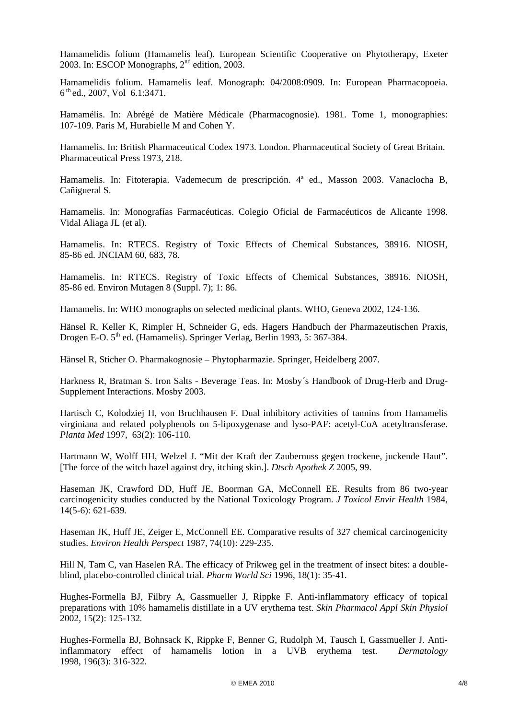Hamamelidis folium (Hamamelis leaf). European Scientific Cooperative on Phytotherapy, Exeter 2003. In: ESCOP Monographs, 2nd edition, 2003.

Hamamelidis folium. Hamamelis leaf. Monograph: 04/2008:0909. In: European Pharmacopoeia. 6 th ed., 2007, Vol 6.1:3471.

Hamamélis. In: Abrégé de Matière Médicale (Pharmacognosie). 1981. Tome 1, monographies: 107-109. Paris M, Hurabielle M and Cohen Y.

Hamamelis. In: British Pharmaceutical Codex 1973. London. Pharmaceutical Society of Great Britain. Pharmaceutical Press 1973, 218.

Hamamelis. In: Fitoterapia. Vademecum de prescripción. 4ª ed., Masson 2003. Vanaclocha B, Cañigueral S.

Hamamelis. In: Monografías Farmacéuticas. Colegio Oficial de Farmacéuticos de Alicante 1998. Vidal Aliaga JL (et al).

Hamamelis. In: RTECS. Registry of Toxic Effects of Chemical Substances, 38916. NIOSH, 85-86 ed. JNCIAM 60, 683, 78.

Hamamelis. In: RTECS. Registry of Toxic Effects of Chemical Substances, 38916. NIOSH, 85-86 ed. Environ Mutagen 8 (Suppl. 7); 1: 86.

Hamamelis. In: WHO monographs on selected medicinal plants. WHO, Geneva 2002, 124-136.

Hänsel R, Keller K, Rimpler H, Schneider G, eds. Hagers Handbuch der Pharmazeutischen Praxis, Drogen E-O. 5<sup>th</sup> ed. (Hamamelis). Springer Verlag, Berlin 1993, 5: 367-384.

Hänsel R, Sticher O. Pharmakognosie – Phytopharmazie. Springer, Heidelberg 2007.

Harkness R, Bratman S. Iron Salts - Beverage Teas. In: Mosby´s Handbook of Drug-Herb and Drug-Supplement Interactions. Mosby 2003.

Hartisch C, Kolodziej H, von Bruchhausen F. Dual inhibitory activities of tannins from Hamamelis virginiana and related polyphenols on 5-lipoxygenase and lyso-PAF: acetyl-CoA acetyltransferase. *Planta Med* 1997, 63(2): 106-110*.* 

Hartmann W, Wolff HH, Welzel J. "Mit der Kraft der Zaubernuss gegen trockene, juckende Haut". [The force of the witch hazel against dry, itching skin.]. *Dtsch Apothek Z* 2005, 99.

Haseman JK, Crawford DD, Huff JE, Boorman GA, McConnell EE. Results from 86 two-year carcinogenicity studies conducted by the National Toxicology Program. *J Toxicol Envir Health* 1984, 14(5-6): 621-639*.* 

Haseman JK, Huff JE, Zeiger E, McConnell EE. Comparative results of 327 chemical carcinogenicity studies. *Environ Health Perspect* 1987, 74(10): 229-235.

Hill N, Tam C, van Haselen RA. The efficacy of Prikweg gel in the treatment of insect bites: a doubleblind, placebo-controlled clinical trial. *Pharm World Sci* 1996, 18(1): 35-41*.* 

Hughes-Formella BJ, Filbry A, Gassmueller J, Rippke F. Anti-inflammatory efficacy of topical preparations with 10% hamamelis distillate in a UV erythema test. *Skin Pharmacol Appl Skin Physiol*  2002, 15(2): 125-132*.*

Hughes-Formella BJ, Bohnsack K, Rippke F, Benner G, Rudolph M, Tausch I, Gassmueller J. Antiinflammatory effect of hamamelis lotion in a UVB erythema test. *Dermatology*  1998, 196(3): 316-322*.*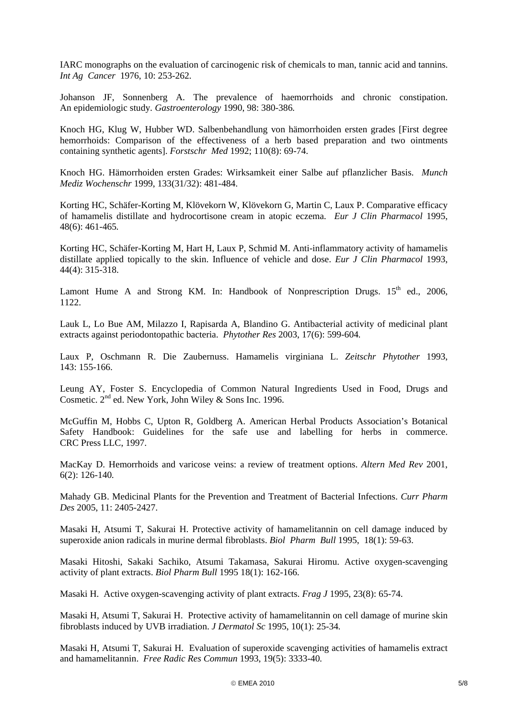IARC monographs on the evaluation of carcinogenic risk of chemicals to man, tannic acid and tannins. *Int Ag Cancer* 1976, 10: 253-262*.* 

Johanson JF, Sonnenberg A. The prevalence of haemorrhoids and chronic constipation. An epidemiologic study*. Gastroenterology* 1990, 98: 380-386*.* 

Knoch HG, Klug W, Hubber WD. Salbenbehandlung von hämorrhoiden ersten grades [First degree hemorrhoids: Comparison of the effectiveness of a herb based preparation and two ointments containing synthetic agents]. *Forstschr Med* 1992; 110(8): 69-74.

Knoch HG. Hämorrhoiden ersten Grades: Wirksamkeit einer Salbe auf pflanzlicher Basis. *Munch Mediz Wochenschr* 1999, 133(31/32): 481-484.

Korting HC, Schäfer-Korting M, Klövekorn W, Klövekorn G, Martin C, Laux P. Comparative efficacy of hamamelis distillate and hydrocortisone cream in atopic eczema. *Eur J Clin Pharmacol* 1995, 48(6): 461-465*.*

Korting HC, Schäfer-Korting M, Hart H, Laux P, Schmid M. Anti-inflammatory activity of hamamelis distillate applied topically to the skin. Influence of vehicle and dose. *Eur J Clin Pharmacol* 1993, 44(4): 315-318.

Lamont Hume A and Strong KM. In: Handbook of Nonprescription Drugs.  $15<sup>th</sup>$  ed., 2006, 1122.

Lauk L, Lo Bue AM, Milazzo I, Rapisarda A, Blandino G. Antibacterial activity of medicinal plant extracts against periodontopathic bacteria. *Phytother Res* 2003, 17(6): 599-604*.* 

Laux P, Oschmann R. Die Zaubernuss. Hamamelis virginiana L. *Zeitschr Phytother* 1993, 143: 155-166.

Leung AY, Foster S. Encyclopedia of Common Natural Ingredients Used in Food, Drugs and Cosmetic. 2nd ed. New York, John Wiley & Sons Inc. 1996.

McGuffin M, Hobbs C, Upton R, Goldberg A. American Herbal Products Association's Botanical Safety Handbook: Guidelines for the safe use and labelling for herbs in commerce. CRC Press LLC, 1997.

MacKay D. Hemorrhoids and varicose veins: a review of treatment options. *Altern Med Rev* 2001, 6(2): 126-140*.* 

Mahady GB. Medicinal Plants for the Prevention and Treatment of Bacterial Infections. *Curr Pharm Des* 2005, 11: 2405-2427.

Masaki H, Atsumi T, Sakurai H. Protective activity of hamamelitannin on cell damage induced by superoxide anion radicals in murine dermal fibroblasts. *Biol Pharm Bull* 1995, 18(1): 59-63.

Masaki Hitoshi, Sakaki Sachiko, Atsumi Takamasa, Sakurai Hiromu. Active oxygen-scavenging activity of plant extracts. *Biol Pharm Bull* 1995 18(1): 162-166*.* 

Masaki H. Active oxygen-scavenging activity of plant extracts. *Frag J* 1995, 23(8): 65-74.

Masaki H, Atsumi T, Sakurai H. Protective activity of hamamelitannin on cell damage of murine skin fibroblasts induced by UVB irradiation. *J Dermatol Sc* 1995, 10(1): 25-34*.* 

Masaki H, Atsumi T, Sakurai H. Evaluation of superoxide scavenging activities of hamamelis extract and hamamelitannin. *Free Radic Res Commun* 1993, 19(5): 3333-40*.*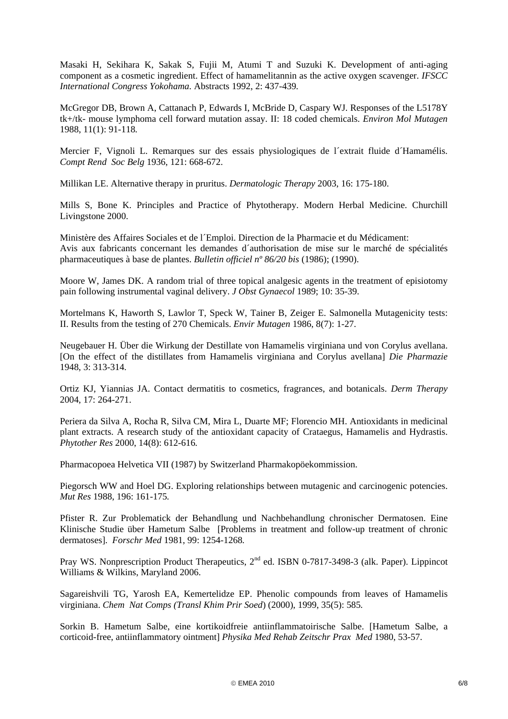Masaki H, Sekihara K, Sakak S, Fujii M, Atumi T and Suzuki K. Development of anti-aging component as a cosmetic ingredient. Effect of hamamelitannin as the active oxygen scavenger. *IFSCC International Congress Yokohama.* Abstracts 1992, 2: 437-439*.* 

McGregor DB, Brown A, Cattanach P, Edwards I, McBride D, Caspary WJ. Responses of the L5178Y tk+/tk- mouse lymphoma cell forward mutation assay. II: 18 coded chemicals. *Environ Mol Mutagen* 1988, 11(1): 91-118*.*

Mercier F, Vignoli L. Remarques sur des essais physiologiques de l´extrait fluide d´Hamamélis. *Compt Rend Soc Belg* 1936, 121: 668-672.

Millikan LE. Alternative therapy in pruritus. *Dermatologic Therapy* 2003, 16: 175-180.

Mills S, Bone K. Principles and Practice of Phytotherapy. Modern Herbal Medicine. Churchill Livingstone 2000.

Ministère des Affaires Sociales et de l´Emploi. Direction de la Pharmacie et du Médicament: Avis aux fabricants concernant les demandes d´authorisation de mise sur le marché de spécialités pharmaceutiques à base de plantes. *Bulletin officiel nº 86/20 bis* (1986); (1990).

Moore W, James DK. A random trial of three topical analgesic agents in the treatment of episiotomy pain following instrumental vaginal delivery. *J Obst Gynaecol* 1989; 10: 35-39.

Mortelmans K, Haworth S, Lawlor T, Speck W, Tainer B, Zeiger E. Salmonella Mutagenicity tests: II. Results from the testing of 270 Chemicals. *Envir Mutagen* 1986, 8(7): 1-27.

Neugebauer H. Über die Wirkung der Destillate von Hamamelis virginiana und von Corylus avellana. [On the effect of the distillates from Hamamelis virginiana and Corylus avellana] *Die Pharmazie*  1948, 3: 313-314*.* 

Ortiz KJ, Yiannias JA. Contact dermatitis to cosmetics, fragrances, and botanicals. *Derm Therapy*  2004, 17: 264-271.

Periera da Silva A, Rocha R, Silva CM, Mira L, Duarte MF; Florencio MH. Antioxidants in medicinal plant extracts. A research study of the antioxidant capacity of Crataegus, Hamamelis and Hydrastis. *Phytother Res* 2000, 14(8): 612-616*.* 

Pharmacopoea Helvetica VII (1987) by Switzerland Pharmakopöekommission.

Piegorsch WW and Hoel DG. Exploring relationships between mutagenic and carcinogenic potencies. *Mut Res* 1988, 196: 161-175*.* 

Pfister R. Zur Problematick der Behandlung und Nachbehandlung chronischer Dermatosen. Eine Klinische Studie über Hametum Salbe [Problems in treatment and follow-up treatment of chronic dermatoses]. *Forschr Med* 1981, 99: 1254-1268*.* 

Pray WS. Nonprescription Product Therapeutics, 2<sup>nd</sup> ed. ISBN 0-7817-3498-3 (alk. Paper). Lippincot Williams & Wilkins, Maryland 2006.

Sagareishvili TG, Yarosh EA, Kemertelidze EP. Phenolic compounds from leaves of Hamamelis virginiana. *Chem Nat Comps (Transl Khim Prir Soed*) (2000), 1999, 35(5): 585*.* 

Sorkin B. Hametum Salbe, eine kortikoidfreie antiinflammatoirische Salbe. [Hametum Salbe, a corticoid-free, antiinflammatory ointment] *Physika Med Rehab Zeitschr Prax Med* 1980, 53-57.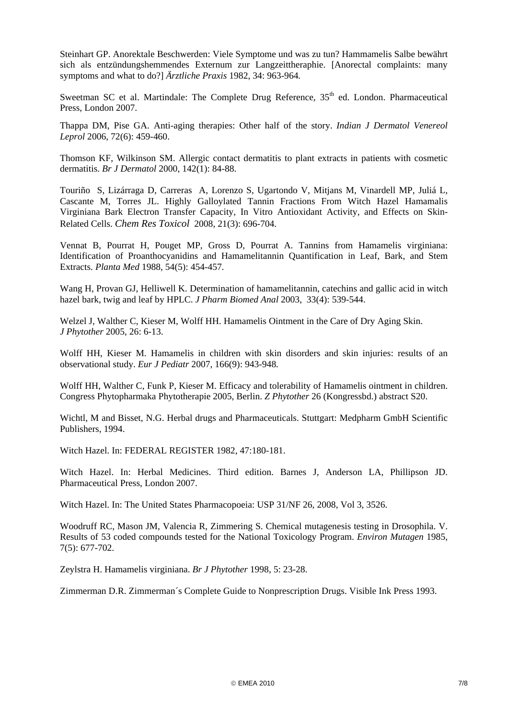Steinhart GP. Anorektale Beschwerden: Viele Symptome und was zu tun? Hammamelis Salbe bewährt sich als entzündungshemmendes Externum zur Langzeittheraphie. [Anorectal complaints: many symptoms and what to do?] *Ärztliche Praxis* 1982, 34: 963-964*.*

Sweetman SC et al. Martindale: The Complete Drug Reference,  $35<sup>th</sup>$  ed. London. Pharmaceutical Press, London 2007.

Thappa DM, Pise GA. [Anti-aging therapies: Other half of the story.](http://web.ebscohost.com/ehost/viewarticle?data=dGJyMPPp44rp2%2fdV0%2bnjisfk5Ie45PFIs6u1ULek63nn5Kx95uXxjL6nrkewqa1Krqa1OLSwsk64qLU4v8OkjPDX7Ivf2fKB7eTnfLunsE%2bxpq5JsK%2bxPurX7H%2b72%2fE%2b4ti7hezepIzf3btZzJzfhru7zmzNubBLtKa0SbespH7t6Ot58rPkjeri0n326gAA&hid=101) *Indian J Dermatol Venereol Leprol* 2006, 72(6): 459-460.

Thomson KF, Wilkinson SM. Allergic contact dermatitis to plant extracts in patients with cosmetic dermatitis. *Br J Dermatol* 2000, 142(1): 84-88.

Touriño S, Lizárraga D, Carreras A, Lorenzo S, Ugartondo V, Mitjans M, Vinardell MP, Juliá L, Cascante M, Torres JL. Highly Galloylated Tannin Fractions From Witch Hazel Hamamalis Virginiana Bark Electron Transfer Capacity, In Vitro Antioxidant Activity, and Effects on Skin-Related Cells. *Chem Res Toxicol* 2008, 21(3): 696-704.

Vennat B, Pourrat H, Pouget MP, Gross D, Pourrat A. Tannins from Hamamelis virginiana: Identification of Proanthocyanidins and Hamamelitannin Quantification in Leaf, Bark, and Stem Extracts. *Planta Med* 1988, 54(5): 454-457*.* 

Wang H, Provan GJ, Helliwell K. Determination of hamamelitannin, catechins and gallic acid in witch hazel bark, twig and leaf by HPLC. *J Pharm Biomed Anal* 2003, 33(4): 539-544.

Welzel J, Walther C, Kieser M, Wolff HH. Hamamelis Ointment in the Care of Dry Aging Skin. *J Phytother* 2005, 26: 6-13.

Wolff HH, Kieser M. Hamamelis in children with skin disorders and skin injuries: results of an observational study. *Eur J Pediatr* 2007, 166(9): 943-948*.* 

Wolff HH, Walther C, Funk P, Kieser M. Efficacy and tolerability of Hamamelis ointment in children. Congress Phytopharmaka Phytotherapie 2005, Berlin. *Z Phytother* 26 (Kongressbd.) abstract S20.

Wichtl, M and Bisset, N.G. Herbal drugs and Pharmaceuticals. Stuttgart: Medpharm GmbH Scientific Publishers, 1994.

Witch Hazel. In: FEDERAL REGISTER 1982, 47:180-181.

Witch Hazel. In: Herbal Medicines. Third edition. Barnes J, Anderson LA, Phillipson JD. Pharmaceutical Press, London 2007.

Witch Hazel. In: The United States Pharmacopoeia: USP 31/NF 26, 2008, Vol 3, 3526.

Woodruff RC, Mason JM, Valencia R, Zimmering S. Chemical mutagenesis testing in Drosophila. V. Results of 53 coded compounds tested for the National Toxicology Program. *Environ Mutagen* 1985, 7(5): 677-702.

Zeylstra H. Hamamelis virginiana. *Br J Phytother* 1998, 5: 23-28.

Zimmerman D.R. Zimmerman´s Complete Guide to Nonprescription Drugs. Visible Ink Press 1993.